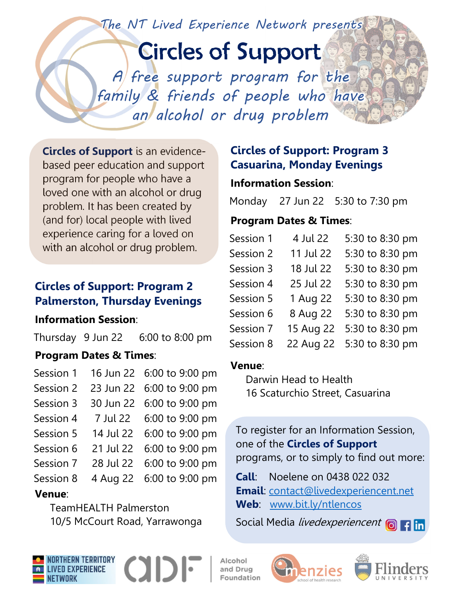The NT Lived Experience Network presents

# Circles of Support

A free support program for the family & friends of people who have an alcohol or drug problem

**Circles of Support** is an evidencebased peer education and support program for people who have a loved one with an alcohol or drug problem. It has been created by (and for) local people with lived experience caring for a loved on with an alcohol or drug problem.

## **Circles of Support: Program 2 Palmerston, Thursday Evenings**

#### **Information Session**:

Thursday 9 Jun 22 6:00 to 8:00 pm

### **Program Dates & Times**:

| Session 1 | 16 Jun 22 6:00 to 9:00 pm |
|-----------|---------------------------|
| Session 2 | 23 Jun 22 6:00 to 9:00 pm |
| Session 3 | 30 Jun 22 6:00 to 9:00 pm |
| Session 4 | 7 Jul 22 6:00 to 9:00 pm  |
| Session 5 | 14 Jul 22 6:00 to 9:00 pm |
| Session 6 | 21 Jul 22 6:00 to 9:00 pm |
| Session 7 | 28 Jul 22 6:00 to 9:00 pm |
| Session 8 | 4 Aug 22 6:00 to 9:00 pm  |

### **Venue**:

TeamHEALTH Palmerston 10/5 McCourt Road, Yarrawonga

## **Circles of Support: Program 3 Casuarina, Monday Evenings**

### **Information Session**:

Monday 27 Jun 22 5:30 to 7:30 pm

### **Program Dates & Times**:

| 4 Jul 22  | 5:30 to 8:30 pm |
|-----------|-----------------|
| 11 Jul 22 | 5:30 to 8:30 pm |
| 18 Jul 22 | 5:30 to 8:30 pm |
| 25 Jul 22 | 5:30 to 8:30 pm |
| 1 Aug 22  | 5:30 to 8:30 pm |
| 8 Aug 22  | 5:30 to 8:30 pm |
| 15 Aug 22 | 5:30 to 8:30 pm |
| 22 Aug 22 | 5:30 to 8:30 pm |
|           |                 |

#### **Venue**:

Darwin Head to Health 16 Scaturchio Street, Casuarina

To register for an Information Session, one of the **Circles of Support** programs, or to simply to find out more:

**Call**: Noelene on 0438 022 032 **Email**: contact@livedexperiencent.net **Web**: www.bit.ly/ntlencos

Social Media livedexperiencent **out**